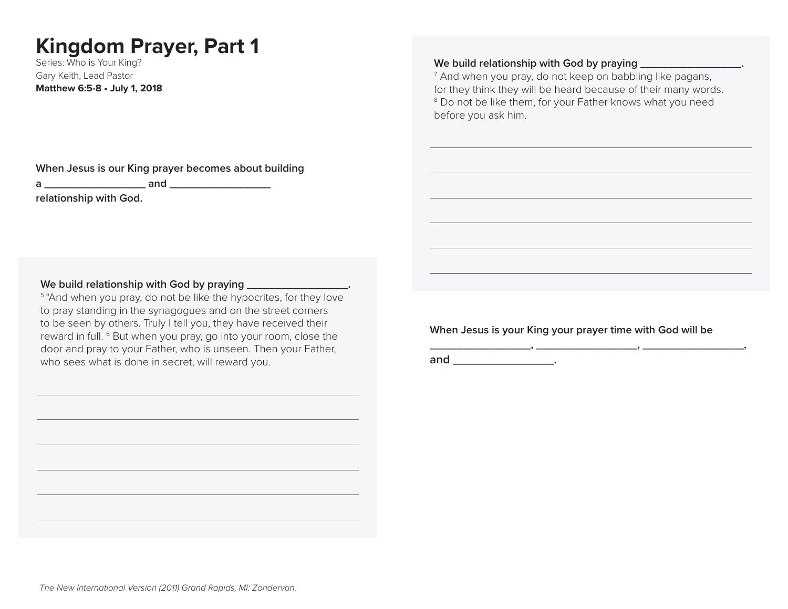# **Kingdom Prayer, Part 1**

Series: Who is Your King? Gary Keith, Lead Pastor **Matthew 6:5-8 • July 1, 2018**

**When Jesus is our King prayer becomes about building a \_\_\_\_\_\_\_\_\_\_\_\_\_\_\_ and \_\_\_\_\_\_\_\_\_\_\_\_\_\_\_ relationship with God.**

#### We build relationship with God by praying \_\_\_\_\_\_\_\_\_\_\_\_\_\_\_\_\_.

<sup>5</sup> "And when you pray, do not be like the hypocrites, for they love to pray standing in the synagogues and on the street corners to be seen by others. Truly I tell you, they have received their reward in full. 6 But when you pray, go into your room, close the door and pray to your Father, who is unseen. Then your Father, who sees what is done in secret, will reward you.

**When Jesus is your King your prayer time with God will be** 

**\_\_\_\_\_\_\_\_\_\_\_\_\_\_\_, \_\_\_\_\_\_\_\_\_\_\_\_\_\_\_, \_\_\_\_\_\_\_\_\_\_\_\_\_\_\_,** 

**and \_\_\_\_\_\_\_\_\_\_\_\_\_\_\_.**

### We build relationship with God by praying **We build relationship with God by praying**

 $^7$  And when you pray, do not keep on babbling like pagans, for they think they will be heard because of their many words. <sup>8</sup> Do not be like them, for your Father knows what you need before you ask him.